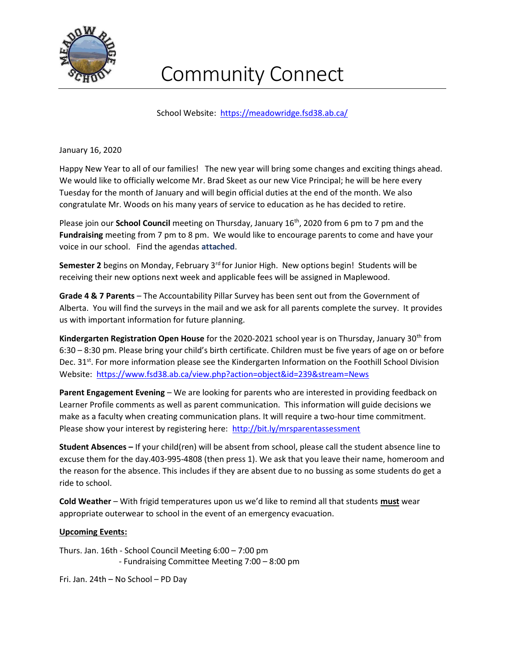

## Community Connect

School Website: https://meadowridge.fsd38.ab.ca/

January 16, 2020

Happy New Year to all of our families! The new year will bring some changes and exciting things ahead. We would like to officially welcome Mr. Brad Skeet as our new Vice Principal; he will be here every Tuesday for the month of January and will begin official duties at the end of the month. We also congratulate Mr. Woods on his many years of service to education as he has decided to retire.

Please join our **School Council** meeting on Thursday, January  $16<sup>th</sup>$ , 2020 from 6 pm to 7 pm and the Fundraising meeting from 7 pm to 8 pm. We would like to encourage parents to come and have your voice in our school. Find the agendas attached.

**Semester 2** begins on Monday, February  $3^{rd}$  for Junior High. New options begin! Students will be receiving their new options next week and applicable fees will be assigned in Maplewood.

Grade 4 & 7 Parents – The Accountability Pillar Survey has been sent out from the Government of Alberta. You will find the surveys in the mail and we ask for all parents complete the survey. It provides us with important information for future planning.

Kindergarten Registration Open House for the 2020-2021 school year is on Thursday, January 30<sup>th</sup> from 6:30 – 8:30 pm. Please bring your child's birth certificate. Children must be five years of age on or before Dec. 31<sup>st</sup>. For more information please see the Kindergarten Information on the Foothill School Division Website: https://www.fsd38.ab.ca/view.php?action=object&id=239&stream=News

Parent Engagement Evening – We are looking for parents who are interested in providing feedback on Learner Profile comments as well as parent communication. This information will guide decisions we make as a faculty when creating communication plans. It will require a two-hour time commitment. Please show your interest by registering here: http://bit.ly/mrsparentassessment

Student Absences – If your child(ren) will be absent from school, please call the student absence line to excuse them for the day.403-995-4808 (then press 1). We ask that you leave their name, homeroom and the reason for the absence. This includes if they are absent due to no bussing as some students do get a ride to school.

Cold Weather – With frigid temperatures upon us we'd like to remind all that students must wear appropriate outerwear to school in the event of an emergency evacuation.

## Upcoming Events:

Thurs. Jan. 16th - School Council Meeting 6:00 – 7:00 pm - Fundraising Committee Meeting 7:00 – 8:00 pm

Fri. Jan. 24th – No School – PD Day